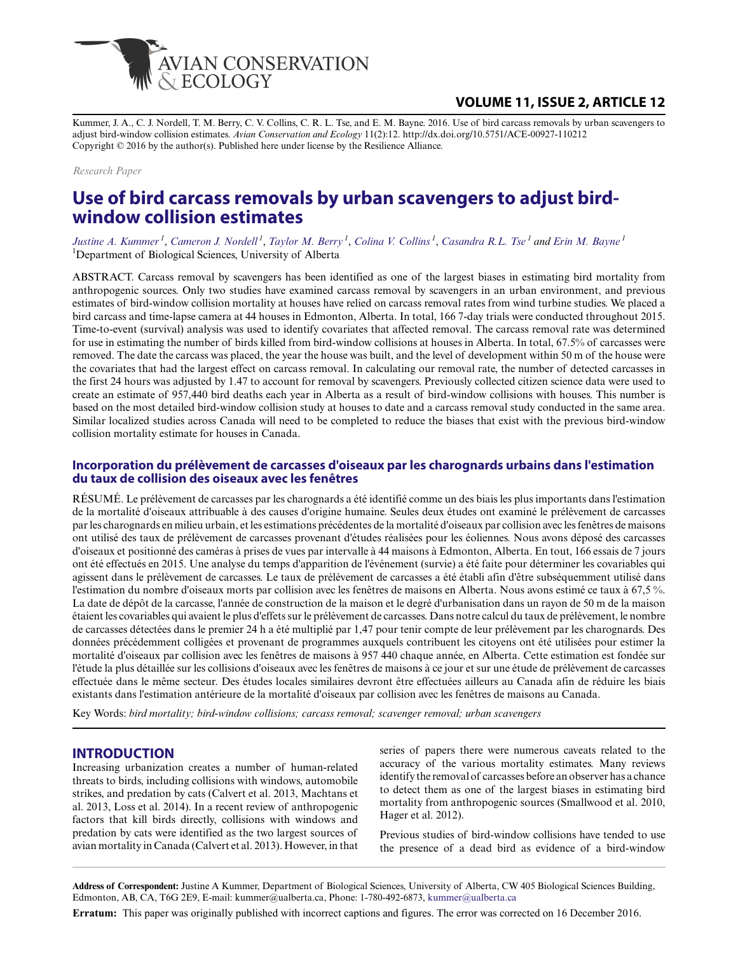

# **VOLUME 11, ISSUE 2, ARTICLE 12**

Kummer, J. A., C. J. Nordell, T. M. Berry, C. V. Collins, C. R. L. Tse, and E. M. Bayne. 2016. Use of bird carcass removals by urban scavengers to adjust bird-window collision estimates. *Avian Conservation and Ecology* 11(2):12. http://dx.doi.org/10.5751/ACE-00927-110212 Copyright © 2016 by the author(s). Published here under license by the Resilience Alliance.

*Research Paper*

# **Use of bird carcass removals by urban scavengers to adjust birdwindow collision estimates**

*Justine A. Kummer<sup>1</sup>* , *Cameron J. Nordell<sup>1</sup>* , *Taylor M. Berry<sup>1</sup>* , *Colina V. Collins<sup>1</sup>* , *Casandra R.L. Tse<sup>1</sup> and Erin M. Bayne<sup>1</sup>* <sup>1</sup>Department of Biological Sciences, University of Alberta

ABSTRACT. Carcass removal by scavengers has been identified as one of the largest biases in estimating bird mortality from anthropogenic sources. Only two studies have examined carcass removal by scavengers in an urban environment, and previous estimates of bird-window collision mortality at houses have relied on carcass removal rates from wind turbine studies. We placed a bird carcass and time-lapse camera at 44 houses in Edmonton, Alberta. In total, 166 7-day trials were conducted throughout 2015. Time-to-event (survival) analysis was used to identify covariates that affected removal. The carcass removal rate was determined for use in estimating the number of birds killed from bird-window collisions at houses in Alberta. In total, 67.5% of carcasses were removed. The date the carcass was placed, the year the house was built, and the level of development within 50 m of the house were the covariates that had the largest effect on carcass removal. In calculating our removal rate, the number of detected carcasses in the first 24 hours was adjusted by 1.47 to account for removal by scavengers. Previously collected citizen science data were used to create an estimate of 957,440 bird deaths each year in Alberta as a result of bird-window collisions with houses. This number is based on the most detailed bird-window collision study at houses to date and a carcass removal study conducted in the same area. Similar localized studies across Canada will need to be completed to reduce the biases that exist with the previous bird-window collision mortality estimate for houses in Canada.

### **Incorporation du prélèvement de carcasses d'oiseaux par les charognards urbains dans l'estimation du taux de collision des oiseaux avec les fenêtres**

RÉSUMÉ. Le prélèvement de carcasses par les charognards a été identifié comme un des biais les plus importants dans l'estimation de la mortalité d'oiseaux attribuable à des causes d'origine humaine. Seules deux études ont examiné le prélèvement de carcasses par les charognards en milieu urbain, et les estimations précédentes de la mortalité d'oiseaux par collision avec les fenêtres de maisons ont utilisé des taux de prélèvement de carcasses provenant d'études réalisées pour les éoliennes. Nous avons déposé des carcasses d'oiseaux et positionné des caméras à prises de vues par intervalle à 44 maisons à Edmonton, Alberta. En tout, 166 essais de 7 jours ont été effectués en 2015. Une analyse du temps d'apparition de l'événement (survie) a été faite pour déterminer les covariables qui agissent dans le prélèvement de carcasses. Le taux de prélèvement de carcasses a été établi afin d'être subséquemment utilisé dans l'estimation du nombre d'oiseaux morts par collision avec les fenêtres de maisons en Alberta. Nous avons estimé ce taux à 67,5 %. La date de dépôt de la carcasse, l'année de construction de la maison et le degré d'urbanisation dans un rayon de 50 m de la maison étaient les covariables qui avaient le plus d'effets sur le prélèvement de carcasses. Dans notre calcul du taux de prélèvement, le nombre de carcasses détectées dans le premier 24 h a été multiplié par 1,47 pour tenir compte de leur prélèvement par les charognards. Des données précédemment colligées et provenant de programmes auxquels contribuent les citoyens ont été utilisées pour estimer la mortalité d'oiseaux par collision avec les fenêtres de maisons à 957 440 chaque année, en Alberta. Cette estimation est fondée sur l'étude la plus détaillée sur les collisions d'oiseaux avec les fenêtres de maisons à ce jour et sur une étude de prélèvement de carcasses effectuée dans le même secteur. Des études locales similaires devront être effectuées ailleurs au Canada afin de réduire les biais existants dans l'estimation antérieure de la mortalité d'oiseaux par collision avec les fenêtres de maisons au Canada.

Key Words: *bird mortality; bird-window collisions; carcass removal; scavenger removal; urban scavengers*

## **INTRODUCTION**

Increasing urbanization creates a number of human-related threats to birds, including collisions with windows, automobile strikes, and predation by cats (Calvert et al. 2013, Machtans et al. 2013, Loss et al. 2014). In a recent review of anthropogenic factors that kill birds directly, collisions with windows and predation by cats were identified as the two largest sources of avian mortality in Canada (Calvert et al. 2013). However, in that series of papers there were numerous caveats related to the accuracy of the various mortality estimates. Many reviews identify the removal of carcasses before an observer has a chance to detect them as one of the largest biases in estimating bird mortality from anthropogenic sources (Smallwood et al. 2010, Hager et al. 2012).

Previous studies of bird-window collisions have tended to use the presence of a dead bird as evidence of a bird-window

**Address of Correspondent:** Justine A Kummer, Department of Biological Sciences, University of Alberta, CW 405 Biological Sciences Building, Edmonton, AB, CA, T6G 2E9, E-mail: kummer@ualberta.ca, Phone: 1-780-492-6873, kummer@ualberta.ca

**Erratum:** This paper was originally published with incorrect captions and figures. The error was corrected on 16 December 2016.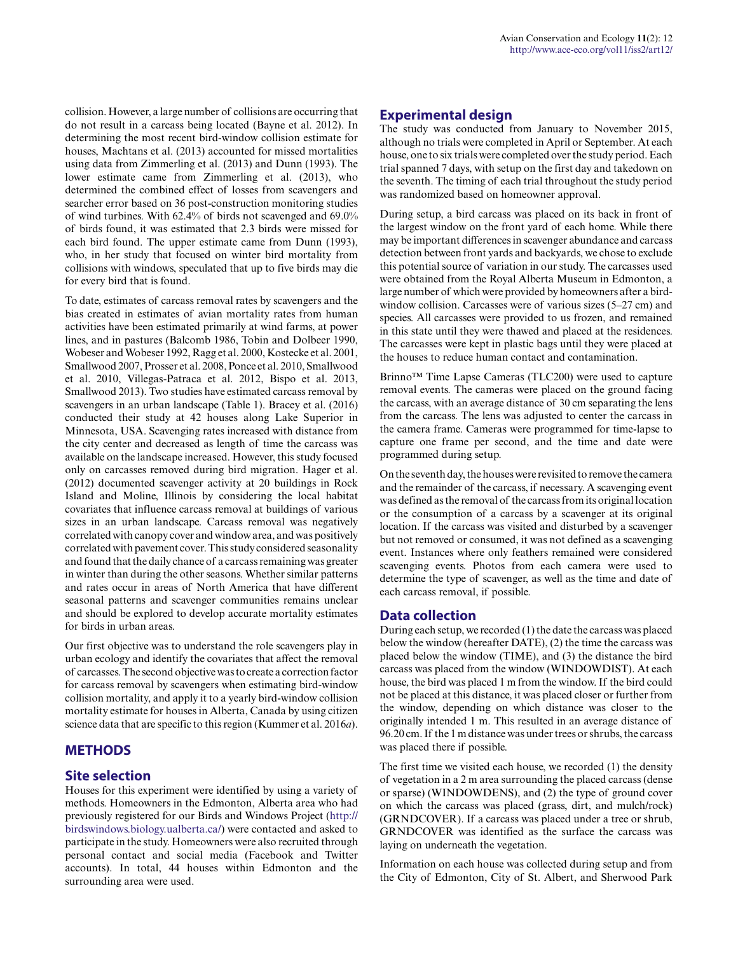collision. However, a large number of collisions are occurring that do not result in a carcass being located (Bayne et al. 2012). In determining the most recent bird-window collision estimate for houses, Machtans et al. (2013) accounted for missed mortalities using data from Zimmerling et al. (2013) and Dunn (1993). The lower estimate came from Zimmerling et al. (2013), who determined the combined effect of losses from scavengers and searcher error based on 36 post-construction monitoring studies of wind turbines. With 62.4% of birds not scavenged and 69.0% of birds found, it was estimated that 2.3 birds were missed for each bird found. The upper estimate came from Dunn (1993), who, in her study that focused on winter bird mortality from collisions with windows, speculated that up to five birds may die for every bird that is found.

To date, estimates of carcass removal rates by scavengers and the bias created in estimates of avian mortality rates from human activities have been estimated primarily at wind farms, at power lines, and in pastures (Balcomb 1986, Tobin and Dolbeer 1990, Wobeser and Wobeser 1992, Ragg et al. 2000, Kostecke et al. 2001, Smallwood 2007, Prosser et al. 2008, Ponce et al. 2010, Smallwood et al. 2010, Villegas-Patraca et al. 2012, Bispo et al. 2013, Smallwood 2013). Two studies have estimated carcass removal by scavengers in an urban landscape (Table 1). Bracey et al. (2016) conducted their study at 42 houses along Lake Superior in Minnesota, USA. Scavenging rates increased with distance from the city center and decreased as length of time the carcass was available on the landscape increased. However, this study focused only on carcasses removed during bird migration. Hager et al. (2012) documented scavenger activity at 20 buildings in Rock Island and Moline, Illinois by considering the local habitat covariates that influence carcass removal at buildings of various sizes in an urban landscape. Carcass removal was negatively correlated with canopy cover and window area, and was positively correlated with pavement cover. This study considered seasonality and found that the daily chance of a carcass remaining was greater in winter than during the other seasons. Whether similar patterns and rates occur in areas of North America that have different seasonal patterns and scavenger communities remains unclear and should be explored to develop accurate mortality estimates for birds in urban areas.

Our first objective was to understand the role scavengers play in urban ecology and identify the covariates that affect the removal of carcasses. The second objective was to create a correction factor for carcass removal by scavengers when estimating bird-window collision mortality, and apply it to a yearly bird-window collision mortality estimate for houses in Alberta, Canada by using citizen science data that are specific to this region (Kummer et al. 2016*a*).

## **METHODS**

## **Site selection**

Houses for this experiment were identified by using a variety of methods. Homeowners in the Edmonton, Alberta area who had previously registered for our Birds and Windows Project ([http://](http://birdswindows.biology.ualberta.ca/) [birdswindows.biology.ualberta.ca/](http://birdswindows.biology.ualberta.ca/)) were contacted and asked to participate in the study. Homeowners were also recruited through personal contact and social media (Facebook and Twitter accounts). In total, 44 houses within Edmonton and the surrounding area were used.

## **Experimental design**

The study was conducted from January to November 2015, although no trials were completed in April or September. At each house, one to six trials were completed over the study period. Each trial spanned 7 days, with setup on the first day and takedown on the seventh. The timing of each trial throughout the study period was randomized based on homeowner approval.

During setup, a bird carcass was placed on its back in front of the largest window on the front yard of each home. While there may be important differences in scavenger abundance and carcass detection between front yards and backyards, we chose to exclude this potential source of variation in our study. The carcasses used were obtained from the Royal Alberta Museum in Edmonton, a large number of which were provided by homeowners after a birdwindow collision. Carcasses were of various sizes (5–27 cm) and species. All carcasses were provided to us frozen, and remained in this state until they were thawed and placed at the residences. The carcasses were kept in plastic bags until they were placed at the houses to reduce human contact and contamination.

Brinno™ Time Lapse Cameras (TLC200) were used to capture removal events. The cameras were placed on the ground facing the carcass, with an average distance of 30 cm separating the lens from the carcass. The lens was adjusted to center the carcass in the camera frame. Cameras were programmed for time-lapse to capture one frame per second, and the time and date were programmed during setup.

On the seventh day, the houses were revisited to remove the camera and the remainder of the carcass, if necessary. A scavenging event was defined as the removal of the carcass from its original location or the consumption of a carcass by a scavenger at its original location. If the carcass was visited and disturbed by a scavenger but not removed or consumed, it was not defined as a scavenging event. Instances where only feathers remained were considered scavenging events. Photos from each camera were used to determine the type of scavenger, as well as the time and date of each carcass removal, if possible.

## **Data collection**

During each setup, we recorded (1) the date the carcass was placed below the window (hereafter DATE), (2) the time the carcass was placed below the window (TIME), and (3) the distance the bird carcass was placed from the window (WINDOWDIST). At each house, the bird was placed 1 m from the window. If the bird could not be placed at this distance, it was placed closer or further from the window, depending on which distance was closer to the originally intended 1 m. This resulted in an average distance of 96.20 cm. If the 1 m distance was under trees or shrubs, the carcass was placed there if possible.

The first time we visited each house, we recorded (1) the density of vegetation in a 2 m area surrounding the placed carcass (dense or sparse) (WINDOWDENS), and (2) the type of ground cover on which the carcass was placed (grass, dirt, and mulch/rock) (GRNDCOVER). If a carcass was placed under a tree or shrub, GRNDCOVER was identified as the surface the carcass was laying on underneath the vegetation.

Information on each house was collected during setup and from the City of Edmonton, City of St. Albert, and Sherwood Park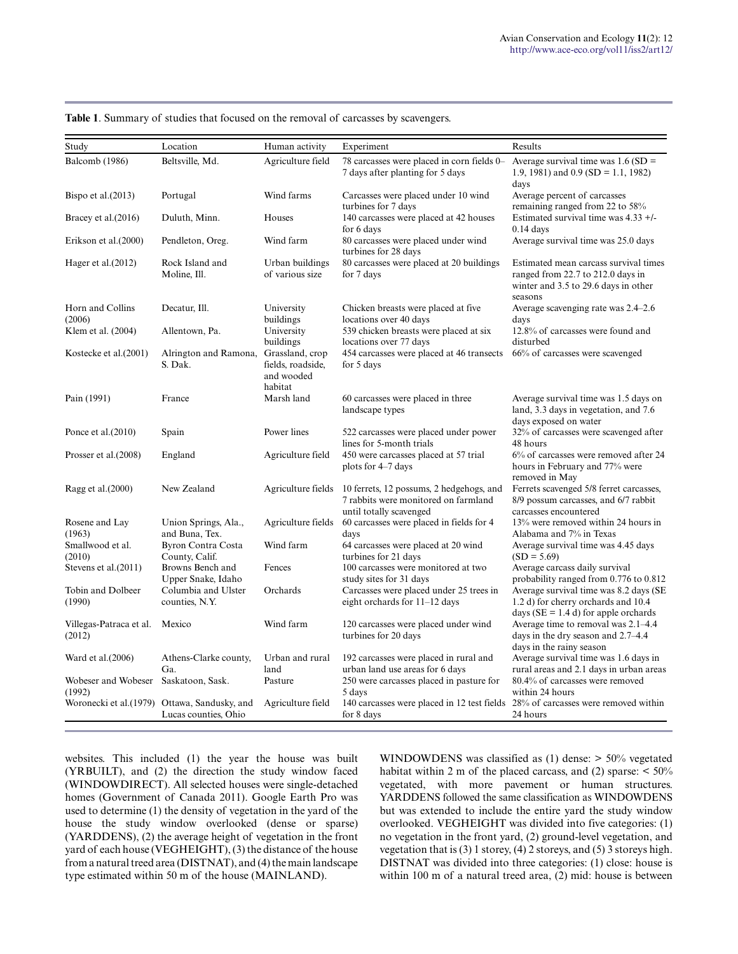| Study                                          | Location                                                             | Human activity                                                | Experiment                                                                                                                     | Results                                                                                                                       |
|------------------------------------------------|----------------------------------------------------------------------|---------------------------------------------------------------|--------------------------------------------------------------------------------------------------------------------------------|-------------------------------------------------------------------------------------------------------------------------------|
| Balcomb (1986)                                 | Beltsville, Md.                                                      | Agriculture field                                             | 78 carcasses were placed in corn fields 0–<br>7 days after planting for 5 days                                                 | Average survival time was $1.6$ (SD =<br>1.9, 1981) and 0.9 (SD = 1.1, 1982)<br>days                                          |
| Bispo et al. $(2013)$                          | Portugal                                                             | Wind farms                                                    | Carcasses were placed under 10 wind<br>turbines for 7 days                                                                     | Average percent of carcasses<br>remaining ranged from 22 to 58%                                                               |
| Bracey et al. (2016)                           | Duluth, Minn.                                                        | Houses                                                        | 140 carcasses were placed at 42 houses<br>for 6 days                                                                           | Estimated survival time was 4.33 +/-<br>$0.14$ days                                                                           |
| Erikson et al. (2000)                          | Pendleton, Oreg.                                                     | Wind farm                                                     | 80 carcasses were placed under wind<br>turbines for 28 days                                                                    | Average survival time was 25.0 days                                                                                           |
| Hager et al. $(2012)$                          | Rock Island and<br>Moline, Ill.                                      | Urban buildings<br>of various size                            | 80 carcasses were placed at 20 buildings<br>for 7 days                                                                         | Estimated mean carcass survival times<br>ranged from 22.7 to 212.0 days in<br>winter and 3.5 to 29.6 days in other<br>seasons |
| Horn and Collins<br>(2006)                     | Decatur, Ill.                                                        | University<br>buildings                                       | Chicken breasts were placed at five<br>locations over 40 days                                                                  | Average scavenging rate was 2.4–2.6<br>days                                                                                   |
| Klem et al. (2004)                             | Allentown, Pa.                                                       | University<br>buildings                                       | 539 chicken breasts were placed at six<br>locations over 77 days                                                               | 12.8% of carcasses were found and<br>disturbed                                                                                |
| Kostecke et al. (2001)                         | Alrington and Ramona,<br>S. Dak.                                     | Grassland, crop<br>fields, roadside,<br>and wooded<br>habitat | 454 carcasses were placed at 46 transects<br>for 5 days                                                                        | 66% of carcasses were scavenged                                                                                               |
| Pain (1991)                                    | France                                                               | Marsh land                                                    | 60 carcasses were placed in three<br>landscape types                                                                           | Average survival time was 1.5 days on<br>land, 3.3 days in vegetation, and 7.6<br>days exposed on water                       |
| Ponce et al. $(2010)$                          | Spain                                                                | Power lines                                                   | 522 carcasses were placed under power<br>lines for 5-month trials                                                              | 32% of carcasses were scavenged after<br>48 hours                                                                             |
| Prosser et al. (2008)                          | England                                                              | Agriculture field                                             | 450 were carcasses placed at 57 trial<br>plots for 4-7 days                                                                    | 6% of carcasses were removed after 24<br>hours in February and 77% were<br>removed in May                                     |
| Ragg et al.(2000)                              | New Zealand                                                          |                                                               | Agriculture fields 10 ferrets, 12 possums, 2 hedgehogs, and<br>7 rabbits were monitored on farmland<br>until totally scavenged | Ferrets scavenged 5/8 ferret carcasses,<br>8/9 possum carcasses, and 6/7 rabbit<br>carcasses encountered                      |
| Rosene and Lay<br>(1963)                       | Union Springs, Ala.,<br>and Buna, Tex.                               | Agriculture fields                                            | 60 carcasses were placed in fields for 4<br>days                                                                               | 13% were removed within 24 hours in<br>Alabama and 7% in Texas                                                                |
| Smallwood et al.<br>(2010)                     | <b>Byron Contra Costa</b><br>County, Calif.                          | Wind farm                                                     | 64 carcasses were placed at 20 wind<br>turbines for 21 days                                                                    | Average survival time was 4.45 days<br>$(SD = 5.69)$                                                                          |
| Stevens et al. (2011)                          | Browns Bench and<br>Upper Snake, Idaho                               | Fences                                                        | 100 carcasses were monitored at two<br>study sites for 31 days                                                                 | Average carcass daily survival<br>probability ranged from 0.776 to 0.812                                                      |
| Tobin and Dolbeer<br>(1990)                    | Columbia and Ulster<br>counties, N.Y.                                | Orchards                                                      | Carcasses were placed under 25 trees in<br>eight orchards for $11-12$ days                                                     | Average survival time was 8.2 days (SE<br>1.2 d) for cherry orchards and 10.4<br>days ( $SE = 1.4$ d) for apple orchards      |
| Villegas-Patraca et al.<br>(2012)              | Mexico                                                               | Wind farm                                                     | 120 carcasses were placed under wind<br>turbines for 20 days                                                                   | Average time to removal was 2.1–4.4<br>days in the dry season and 2.7–4.4<br>days in the rainy season                         |
| Ward et al. (2006)                             | Athens-Clarke county,<br>Ga.                                         | Urban and rural<br>land                                       | 192 carcasses were placed in rural and<br>urban land use areas for 6 days                                                      | Average survival time was 1.6 days in<br>rural areas and 2.1 days in urban areas                                              |
| Wobeser and Wobeser Saskatoon, Sask.<br>(1992) |                                                                      | Pasture                                                       | 250 were carcasses placed in pasture for<br>5 days                                                                             | 80.4% of carcasses were removed<br>within 24 hours                                                                            |
|                                                | Woronecki et al.(1979) Ottawa, Sandusky, and<br>Lucas counties, Ohio | Agriculture field                                             | 140 carcasses were placed in 12 test fields<br>for 8 days                                                                      | 28% of carcasses were removed within<br>24 hours                                                                              |

#### **Table 1**. Summary of studies that focused on the removal of carcasses by scavengers.

websites. This included (1) the year the house was built (YRBUILT), and (2) the direction the study window faced (WINDOWDIRECT). All selected houses were single-detached homes (Government of Canada 2011). Google Earth Pro was used to determine (1) the density of vegetation in the yard of the house the study window overlooked (dense or sparse) (YARDDENS), (2) the average height of vegetation in the front yard of each house (VEGHEIGHT), (3) the distance of the house from a natural treed area (DISTNAT), and (4) the main landscape type estimated within 50 m of the house (MAINLAND).

WINDOWDENS was classified as (1) dense: > 50% vegetated habitat within 2 m of the placed carcass, and (2) sparse:  $\leq 50\%$ vegetated, with more pavement or human structures. YARDDENS followed the same classification as WINDOWDENS but was extended to include the entire yard the study window overlooked. VEGHEIGHT was divided into five categories: (1) no vegetation in the front yard, (2) ground-level vegetation, and vegetation that is (3) 1 storey, (4) 2 storeys, and (5) 3 storeys high. DISTNAT was divided into three categories: (1) close: house is within 100 m of a natural treed area, (2) mid: house is between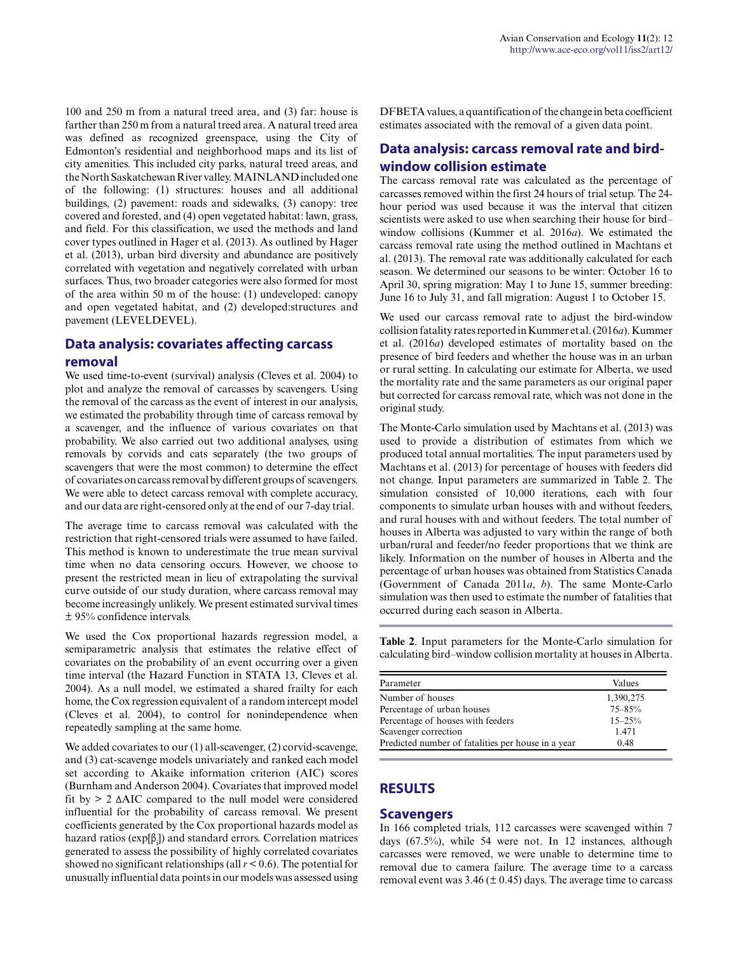100 and 250 m from a natural treed area, and (3) far: house is farther than 250 m from a natural treed area. A natural treed area was defined as recognized greenspace, using the City of Edmonton's residential and neighborhood maps and its list of city amenities. This included city parks, natural treed areas, and the North Saskatchewan River valley. MAINLAND included one of the following: (1) structures: houses and all additional buildings, (2) pavement: roads and sidewalks, (3) canopy: tree covered and forested, and (4) open vegetated habitat: lawn, grass, and field. For this classification, we used the methods and land cover types outlined in Hager et al. (2013). As outlined by Hager et al. (2013), urban bird diversity and abundance are positively correlated with vegetation and negatively correlated with urban surfaces. Thus, two broader categories were also formed for most of the area within 50 m of the house: (1) undeveloped: canopy and open vegetated habitat, and (2) developed:structures and pavement (LEVELDEVEL).

# **Data analysis: covariates affecting carcass removal**

We used time-to-event (survival) analysis (Cleves et al. 2004) to plot and analyze the removal of carcasses by scavengers. Using the removal of the carcass as the event of interest in our analysis, we estimated the probability through time of carcass removal by a scavenger, and the influence of various covariates on that probability. We also carried out two additional analyses, using removals by corvids and cats separately (the two groups of scavengers that were the most common) to determine the effect of covariates on carcass removal by different groups of scavengers. We were able to detect carcass removal with complete accuracy, and our data are right-censored only at the end of our 7-day trial.

The average time to carcass removal was calculated with the restriction that right-censored trials were assumed to have failed. This method is known to underestimate the true mean survival time when no data censoring occurs. However, we choose to present the restricted mean in lieu of extrapolating the survival curve outside of our study duration, where carcass removal may become increasingly unlikely. We present estimated survival times ± 95% confidence intervals.

We used the Cox proportional hazards regression model, a semiparametric analysis that estimates the relative effect of covariates on the probability of an event occurring over a given time interval (the Hazard Function in STATA 13, Cleves et al. 2004). As a null model, we estimated a shared frailty for each home, the Cox regression equivalent of a random intercept model (Cleves et al. 2004), to control for nonindependence when repeatedly sampling at the same home.

We added covariates to our (1) all-scavenger, (2) corvid-scavenge, and (3) cat-scavenge models univariately and ranked each model set according to Akaike information criterion (AIC) scores (Burnham and Anderson 2004). Covariates that improved model fit by > 2 ΔAIC compared to the null model were considered influential for the probability of carcass removal. We present coefficients generated by the Cox proportional hazards model as hazard ratios ( $exp[\beta_i]$ ) and standard errors. Correlation matrices generated to assess the possibility of highly correlated covariates showed no significant relationships (all  $r < 0.6$ ). The potential for unusually influential data points in our models was assessed using

DFBETA values, a quantification of the change in beta coefficient estimates associated with the removal of a given data point.

# **Data analysis: carcass removal rate and birdwindow collision estimate**

The carcass removal rate was calculated as the percentage of carcasses removed within the first 24 hours of trial setup. The 24 hour period was used because it was the interval that citizen scientists were asked to use when searching their house for bird– window collisions (Kummer et al. 2016*a*). We estimated the carcass removal rate using the method outlined in Machtans et al. (2013). The removal rate was additionally calculated for each season. We determined our seasons to be winter: October 16 to April 30, spring migration: May 1 to June 15, summer breeding: June 16 to July 31, and fall migration: August 1 to October 15.

We used our carcass removal rate to adjust the bird-window collision fatality rates reported in Kummer et al. (2016*a*). Kummer et al. (2016*a*) developed estimates of mortality based on the presence of bird feeders and whether the house was in an urban or rural setting. In calculating our estimate for Alberta, we used the mortality rate and the same parameters as our original paper but corrected for carcass removal rate, which was not done in the original study.

The Monte-Carlo simulation used by Machtans et al. (2013) was used to provide a distribution of estimates from which we produced total annual mortalities. The input parameters used by Machtans et al. (2013) for percentage of houses with feeders did not change. Input parameters are summarized in Table 2. The simulation consisted of 10,000 iterations, each with four components to simulate urban houses with and without feeders, and rural houses with and without feeders. The total number of houses in Alberta was adjusted to vary within the range of both urban/rural and feeder/no feeder proportions that we think are likely. Information on the number of houses in Alberta and the percentage of urban houses was obtained from Statistics Canada (Government of Canada 2011*a*, *b*). The same Monte-Carlo simulation was then used to estimate the number of fatalities that occurred during each season in Alberta.

**Table 2**. Input parameters for the Monte-Carlo simulation for calculating bird–window collision mortality at houses in Alberta.

| Parameter                                          | Values     |
|----------------------------------------------------|------------|
| Number of houses                                   | 1,390,275  |
| Percentage of urban houses                         | $75 - 85%$ |
| Percentage of houses with feeders                  | $15 - 25%$ |
| Scavenger correction                               | 1.471      |
| Predicted number of fatalities per house in a year | 0.48       |

## **RESULTS**

## **Scavengers**

In 166 completed trials, 112 carcasses were scavenged within 7 days (67.5%), while 54 were not. In 12 instances, although carcasses were removed, we were unable to determine time to removal due to camera failure. The average time to a carcass removal event was  $3.46 \times (10.45)$  days. The average time to carcass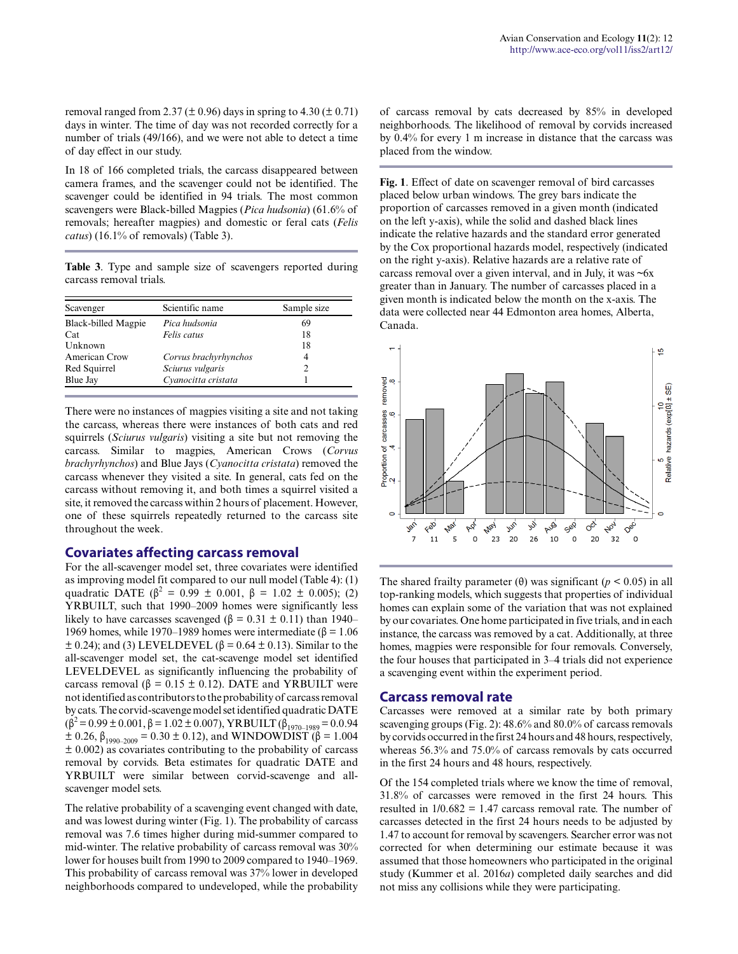removal ranged from 2.37 ( $\pm$  0.96) days in spring to 4.30 ( $\pm$  0.71) days in winter. The time of day was not recorded correctly for a number of trials (49/166), and we were not able to detect a time of day effect in our study.

In 18 of 166 completed trials, the carcass disappeared between camera frames, and the scavenger could not be identified. The scavenger could be identified in 94 trials. The most common scavengers were Black-billed Magpies (*Pica hudsonia*) (61.6% of removals; hereafter magpies) and domestic or feral cats (*Felis catus*) (16.1% of removals) (Table 3).

**Table 3**. Type and sample size of scavengers reported during carcass removal trials.

| Scavenger           | Scientific name       | Sample size |  |  |
|---------------------|-----------------------|-------------|--|--|
| Black-billed Magpie | Pica hudsonia         | 69          |  |  |
| Cat                 | Felis catus           | 18          |  |  |
| Unknown             |                       | 18          |  |  |
| American Crow       | Corvus brachyrhynchos |             |  |  |
| Red Squirrel        | Sciurus vulgaris      |             |  |  |
| Blue Jay            | Cvanocitta cristata   |             |  |  |

There were no instances of magpies visiting a site and not taking the carcass, whereas there were instances of both cats and red squirrels (*Sciurus vulgaris*) visiting a site but not removing the carcass. Similar to magpies, American Crows (*Corvus brachyrhynchos*) and Blue Jays (*Cyanocitta cristata*) removed the carcass whenever they visited a site. In general, cats fed on the carcass without removing it, and both times a squirrel visited a site, it removed the carcass within 2 hours of placement. However, one of these squirrels repeatedly returned to the carcass site throughout the week.

#### **Covariates affecting carcass removal**

For the all-scavenger model set, three covariates were identified as improving model fit compared to our null model (Table 4): (1) quadratic DATE ( $\beta^2 = 0.99 \pm 0.001$ ,  $\beta = 1.02 \pm 0.005$ ); (2) YRBUILT, such that 1990–2009 homes were significantly less likely to have carcasses scavenged ( $\beta = 0.31 \pm 0.11$ ) than 1940– 1969 homes, while 1970–1989 homes were intermediate (β = 1.06  $\pm$  0.24); and (3) LEVELDEVEL ( $\beta$  = 0.64  $\pm$  0.13). Similar to the all-scavenger model set, the cat-scavenge model set identified LEVELDEVEL as significantly influencing the probability of carcass removal ( $β = 0.15 ± 0.12$ ). DATE and YRBUILT were not identified as contributors to the probability of carcass removal by cats. The corvid-scavenge model set identified quadratic DATE  $(\beta^2 = 0.99 \pm 0.001, \beta = 1.02 \pm 0.007)$ , YRBUILT  $(\beta_{1970-1989} = 0.0.94$  $\pm$  0.26, β<sub>1990–2009</sub> = 0.30  $\pm$  0.12), and WINDOWDIST (β = 1.004  $\pm$  0.002) as covariates contributing to the probability of carcass removal by corvids. Beta estimates for quadratic DATE and YRBUILT were similar between corvid-scavenge and allscavenger model sets.

The relative probability of a scavenging event changed with date, and was lowest during winter (Fig. 1). The probability of carcass removal was 7.6 times higher during mid-summer compared to mid-winter. The relative probability of carcass removal was 30% lower for houses built from 1990 to 2009 compared to 1940–1969. This probability of carcass removal was 37% lower in developed neighborhoods compared to undeveloped, while the probability of carcass removal by cats decreased by 85% in developed neighborhoods. The likelihood of removal by corvids increased by 0.4% for every 1 m increase in distance that the carcass was placed from the window.

**Fig. 1**. Effect of date on scavenger removal of bird carcasses placed below urban windows. The grey bars indicate the proportion of carcasses removed in a given month (indicated on the left y-axis), while the solid and dashed black lines indicate the relative hazards and the standard error generated by the Cox proportional hazards model, respectively (indicated on the right y-axis). Relative hazards are a relative rate of carcass removal over a given interval, and in July, it was  $\sim 6x$ greater than in January. The number of carcasses placed in a given month is indicated below the month on the x-axis. The data were collected near 44 Edmonton area homes, Alberta, Canada.



The shared frailty parameter ( $\theta$ ) was significant ( $p < 0.05$ ) in all top-ranking models, which suggests that properties of individual homes can explain some of the variation that was not explained by our covariates. One home participated in five trials, and in each instance, the carcass was removed by a cat. Additionally, at three homes, magpies were responsible for four removals. Conversely, the four houses that participated in 3–4 trials did not experience a scavenging event within the experiment period.

#### **Carcass removal rate**

Carcasses were removed at a similar rate by both primary scavenging groups (Fig. 2): 48.6% and 80.0% of carcass removals by corvids occurred in the first 24 hours and 48 hours, respectively, whereas 56.3% and 75.0% of carcass removals by cats occurred in the first 24 hours and 48 hours, respectively.

Of the 154 completed trials where we know the time of removal, 31.8% of carcasses were removed in the first 24 hours. This resulted in 1/0.682 = 1.47 carcass removal rate. The number of carcasses detected in the first 24 hours needs to be adjusted by 1.47 to account for removal by scavengers. Searcher error was not corrected for when determining our estimate because it was assumed that those homeowners who participated in the original study (Kummer et al. 2016*a*) completed daily searches and did not miss any collisions while they were participating.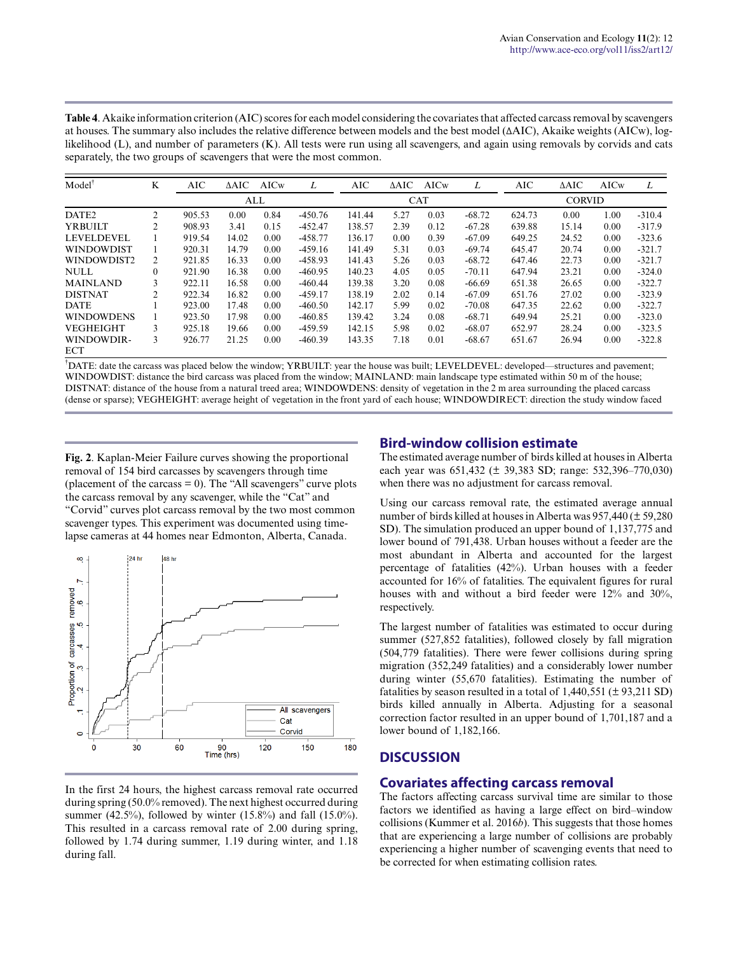**Table 4**. Akaike information criterion (AIC) scores for each model considering the covariates that affected carcass removal by scavengers at houses. The summary also includes the relative difference between models and the best model (ΔAIC), Akaike weights (AICw), loglikelihood (L), and number of parameters (K). All tests were run using all scavengers, and again using removals by corvids and cats separately, the two groups of scavengers that were the most common.

| Model             | K              | AIC    | $\triangle AIC$ | AICw | Ι.         | AIC    | $\triangle AIC$ | AICw | Ι.            | <b>AIC</b> | ΔAIC  | AICw | L        |
|-------------------|----------------|--------|-----------------|------|------------|--------|-----------------|------|---------------|------------|-------|------|----------|
|                   |                | ALL    |                 |      | <b>CAT</b> |        |                 |      | <b>CORVID</b> |            |       |      |          |
| DATE <sub>2</sub> | $\overline{c}$ | 905.53 | 0.00            | 0.84 | $-450.76$  | 141.44 | 5.27            | 0.03 | $-68.72$      | 624.73     | 0.00  | 1.00 | $-310.4$ |
| <b>YRBUILT</b>    | $\overline{c}$ | 908.93 | 3.41            | 0.15 | $-452.47$  | 138.57 | 2.39            | 0.12 | $-67.28$      | 639.88     | 15.14 | 0.00 | $-317.9$ |
| <b>LEVELDEVEL</b> |                | 919.54 | 14.02           | 0.00 | $-458.77$  | 136.17 | 0.00            | 0.39 | $-67.09$      | 649.25     | 24.52 | 0.00 | $-323.6$ |
| <b>WINDOWDIST</b> |                | 920.31 | 14.79           | 0.00 | $-459.16$  | 141.49 | 5.31            | 0.03 | $-69.74$      | 645.47     | 20.74 | 0.00 | $-321.7$ |
| WINDOWDIST2       | 2              | 921.85 | 16.33           | 0.00 | $-458.93$  | 141.43 | 5.26            | 0.03 | $-68.72$      | 647.46     | 22.73 | 0.00 | $-321.7$ |
| <b>NULL</b>       | $\theta$       | 921.90 | 16.38           | 0.00 | $-460.95$  | 140.23 | 4.05            | 0.05 | $-70.11$      | 647.94     | 23.21 | 0.00 | $-324.0$ |
| <b>MAINLAND</b>   | 3              | 922.11 | 16.58           | 0.00 | $-460.44$  | 139.38 | 3.20            | 0.08 | $-66.69$      | 651.38     | 26.65 | 0.00 | $-322.7$ |
| <b>DISTNAT</b>    | 2              | 922.34 | 16.82           | 0.00 | $-459.17$  | 138.19 | 2.02            | 0.14 | $-67.09$      | 651.76     | 27.02 | 0.00 | $-323.9$ |
| <b>DATE</b>       |                | 923.00 | 17.48           | 0.00 | $-460.50$  | 142.17 | 5.99            | 0.02 | $-70.08$      | 647.35     | 22.62 | 0.00 | $-322.7$ |
| <b>WINDOWDENS</b> |                | 923.50 | 17.98           | 0.00 | $-460.85$  | 139.42 | 3.24            | 0.08 | $-68.71$      | 649.94     | 25.21 | 0.00 | $-323.0$ |
| <b>VEGHEIGHT</b>  | 3              | 925.18 | 19.66           | 0.00 | $-459.59$  | 142.15 | 5.98            | 0.02 | $-68.07$      | 652.97     | 28.24 | 0.00 | $-323.5$ |
| WINDOWDIR-        | 3              | 926.77 | 21.25           | 0.00 | $-460.39$  | 143.35 | 7.18            | 0.01 | $-68.67$      | 651.67     | 26.94 | 0.00 | $-322.8$ |
| <b>ECT</b>        |                |        |                 |      |            |        |                 |      |               |            |       |      |          |

†DATE: date the carcass was placed below the window; YRBUILT: year the house was built; LEVELDEVEL: developed—structures and pavement; WINDOWDIST: distance the bird carcass was placed from the window; MAINLAND: main landscape type estimated within 50 m of the house; DISTNAT: distance of the house from a natural treed area; WINDOWDENS: density of vegetation in the 2 m area surrounding the placed carcass (dense or sparse); VEGHEIGHT: average height of vegetation in the front yard of each house; WINDOWDIRECT: direction the study window faced

**Fig. 2**. Kaplan-Meier Failure curves showing the proportional removal of 154 bird carcasses by scavengers through time (placement of the carcass = 0). The "All scavengers" curve plots the carcass removal by any scavenger, while the "Cat" and "Corvid" curves plot carcass removal by the two most common scavenger types. This experiment was documented using timelapse cameras at 44 homes near Edmonton, Alberta, Canada.



In the first 24 hours, the highest carcass removal rate occurred during spring (50.0% removed). The next highest occurred during summer (42.5%), followed by winter (15.8%) and fall (15.0%). This resulted in a carcass removal rate of 2.00 during spring, followed by 1.74 during summer, 1.19 during winter, and 1.18 during fall.

# **Bird-window collision estimate**

The estimated average number of birds killed at houses in Alberta each year was 651,432 (± 39,383 SD; range: 532,396–770,030) when there was no adjustment for carcass removal.

Using our carcass removal rate, the estimated average annual number of birds killed at houses in Alberta was 957,440 (± 59,280 SD). The simulation produced an upper bound of 1,137,775 and lower bound of 791,438. Urban houses without a feeder are the most abundant in Alberta and accounted for the largest percentage of fatalities (42%). Urban houses with a feeder accounted for 16% of fatalities. The equivalent figures for rural houses with and without a bird feeder were 12% and 30%, respectively.

The largest number of fatalities was estimated to occur during summer (527,852 fatalities), followed closely by fall migration (504,779 fatalities). There were fewer collisions during spring migration (352,249 fatalities) and a considerably lower number during winter (55,670 fatalities). Estimating the number of fatalities by season resulted in a total of  $1,440,551 \pm 93,211$  SD) birds killed annually in Alberta. Adjusting for a seasonal correction factor resulted in an upper bound of 1,701,187 and a lower bound of 1,182,166.

## **DISCUSSION**

## **Covariates affecting carcass removal**

The factors affecting carcass survival time are similar to those factors we identified as having a large effect on bird–window collisions (Kummer et al. 2016*b*). This suggests that those homes that are experiencing a large number of collisions are probably experiencing a higher number of scavenging events that need to be corrected for when estimating collision rates.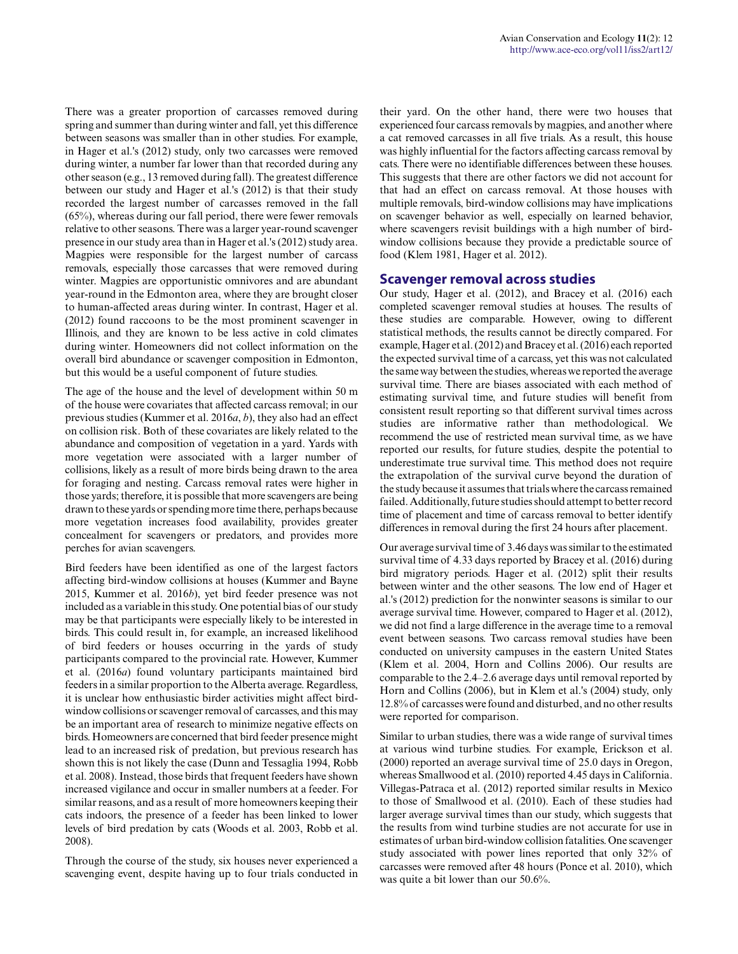There was a greater proportion of carcasses removed during spring and summer than during winter and fall, yet this difference between seasons was smaller than in other studies. For example, in Hager et al.'s (2012) study, only two carcasses were removed during winter, a number far lower than that recorded during any other season (e.g., 13 removed during fall). The greatest difference between our study and Hager et al.'s (2012) is that their study recorded the largest number of carcasses removed in the fall  $(65%)$ , whereas during our fall period, there were fewer removals relative to other seasons. There was a larger year-round scavenger presence in our study area than in Hager et al.'s (2012) study area. Magpies were responsible for the largest number of carcass removals, especially those carcasses that were removed during winter. Magpies are opportunistic omnivores and are abundant year-round in the Edmonton area, where they are brought closer to human-affected areas during winter. In contrast, Hager et al. (2012) found raccoons to be the most prominent scavenger in Illinois, and they are known to be less active in cold climates during winter. Homeowners did not collect information on the overall bird abundance or scavenger composition in Edmonton, but this would be a useful component of future studies.

The age of the house and the level of development within 50 m of the house were covariates that affected carcass removal; in our previous studies (Kummer et al. 2016*a*, *b*), they also had an effect on collision risk. Both of these covariates are likely related to the abundance and composition of vegetation in a yard. Yards with more vegetation were associated with a larger number of collisions, likely as a result of more birds being drawn to the area for foraging and nesting. Carcass removal rates were higher in those yards; therefore, it is possible that more scavengers are being drawn to these yards or spending more time there, perhaps because more vegetation increases food availability, provides greater concealment for scavengers or predators, and provides more perches for avian scavengers.

Bird feeders have been identified as one of the largest factors affecting bird-window collisions at houses (Kummer and Bayne 2015, Kummer et al. 2016*b*), yet bird feeder presence was not included as a variable in this study. One potential bias of our study may be that participants were especially likely to be interested in birds. This could result in, for example, an increased likelihood of bird feeders or houses occurring in the yards of study participants compared to the provincial rate. However, Kummer et al. (2016*a*) found voluntary participants maintained bird feeders in a similar proportion to the Alberta average. Regardless, it is unclear how enthusiastic birder activities might affect birdwindow collisions or scavenger removal of carcasses, and this may be an important area of research to minimize negative effects on birds. Homeowners are concerned that bird feeder presence might lead to an increased risk of predation, but previous research has shown this is not likely the case (Dunn and Tessaglia 1994, Robb et al. 2008). Instead, those birds that frequent feeders have shown increased vigilance and occur in smaller numbers at a feeder. For similar reasons, and as a result of more homeowners keeping their cats indoors, the presence of a feeder has been linked to lower levels of bird predation by cats (Woods et al. 2003, Robb et al. 2008).

Through the course of the study, six houses never experienced a scavenging event, despite having up to four trials conducted in their yard. On the other hand, there were two houses that experienced four carcass removals by magpies, and another where a cat removed carcasses in all five trials. As a result, this house was highly influential for the factors affecting carcass removal by cats. There were no identifiable differences between these houses. This suggests that there are other factors we did not account for that had an effect on carcass removal. At those houses with multiple removals, bird-window collisions may have implications on scavenger behavior as well, especially on learned behavior, where scavengers revisit buildings with a high number of birdwindow collisions because they provide a predictable source of food (Klem 1981, Hager et al. 2012).

#### **Scavenger removal across studies**

Our study, Hager et al. (2012), and Bracey et al. (2016) each completed scavenger removal studies at houses. The results of these studies are comparable. However, owing to different statistical methods, the results cannot be directly compared. For example, Hager et al. (2012) and Bracey et al. (2016) each reported the expected survival time of a carcass, yet this was not calculated the same way between the studies, whereas we reported the average survival time. There are biases associated with each method of estimating survival time, and future studies will benefit from consistent result reporting so that different survival times across studies are informative rather than methodological. We recommend the use of restricted mean survival time, as we have reported our results, for future studies, despite the potential to underestimate true survival time. This method does not require the extrapolation of the survival curve beyond the duration of the study because it assumes that trials where the carcass remained failed. Additionally, future studies should attempt to better record time of placement and time of carcass removal to better identify differences in removal during the first 24 hours after placement.

Our average survival time of 3.46 days was similar to the estimated survival time of 4.33 days reported by Bracey et al. (2016) during bird migratory periods. Hager et al. (2012) split their results between winter and the other seasons. The low end of Hager et al.'s (2012) prediction for the nonwinter seasons is similar to our average survival time. However, compared to Hager et al. (2012), we did not find a large difference in the average time to a removal event between seasons. Two carcass removal studies have been conducted on university campuses in the eastern United States (Klem et al. 2004, Horn and Collins 2006). Our results are comparable to the 2.4–2.6 average days until removal reported by Horn and Collins (2006), but in Klem et al.'s (2004) study, only 12.8% of carcasses were found and disturbed, and no other results were reported for comparison.

Similar to urban studies, there was a wide range of survival times at various wind turbine studies. For example, Erickson et al. (2000) reported an average survival time of 25.0 days in Oregon, whereas Smallwood et al. (2010) reported 4.45 days in California. Villegas-Patraca et al. (2012) reported similar results in Mexico to those of Smallwood et al. (2010). Each of these studies had larger average survival times than our study, which suggests that the results from wind turbine studies are not accurate for use in estimates of urban bird-window collision fatalities. One scavenger study associated with power lines reported that only 32% of carcasses were removed after 48 hours (Ponce et al. 2010), which was quite a bit lower than our 50.6%.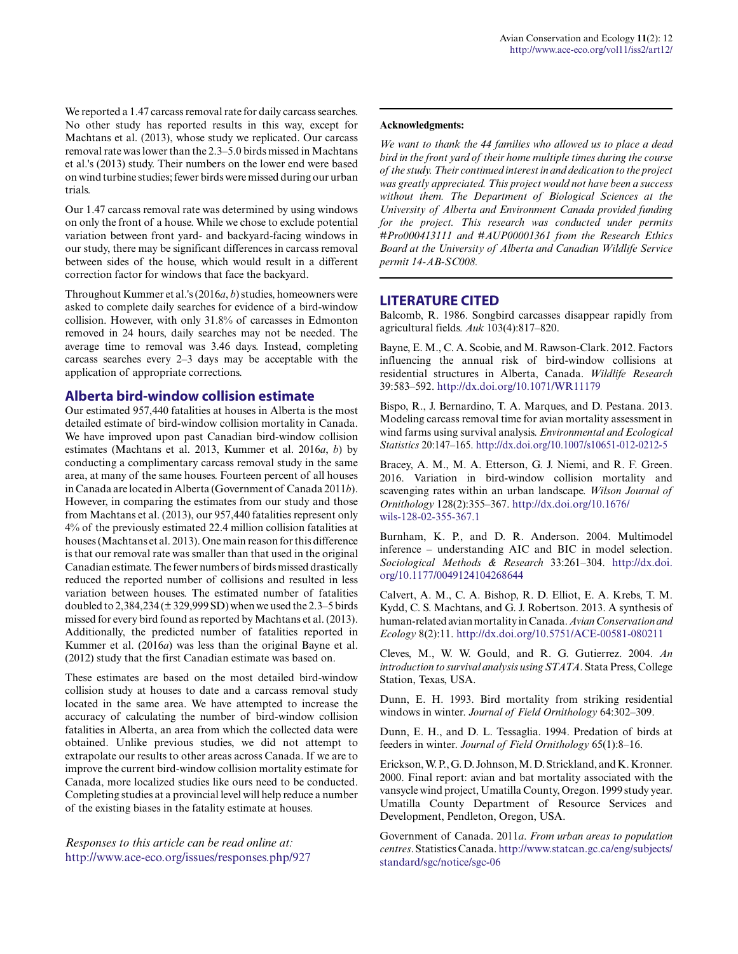We reported a 1.47 carcass removal rate for daily carcass searches. No other study has reported results in this way, except for Machtans et al. (2013), whose study we replicated. Our carcass removal rate was lower than the 2.3–5.0 birds missed in Machtans et al.'s (2013) study. Their numbers on the lower end were based on wind turbine studies; fewer birds were missed during our urban trials.

Our 1.47 carcass removal rate was determined by using windows on only the front of a house. While we chose to exclude potential variation between front yard- and backyard-facing windows in our study, there may be significant differences in carcass removal between sides of the house, which would result in a different correction factor for windows that face the backyard.

Throughout Kummer et al.'s (2016*a*, *b*) studies, homeowners were asked to complete daily searches for evidence of a bird-window collision. However, with only 31.8% of carcasses in Edmonton removed in 24 hours, daily searches may not be needed. The average time to removal was 3.46 days. Instead, completing carcass searches every 2–3 days may be acceptable with the application of appropriate corrections.

### **Alberta bird-window collision estimate**

Our estimated 957,440 fatalities at houses in Alberta is the most detailed estimate of bird-window collision mortality in Canada. We have improved upon past Canadian bird-window collision estimates (Machtans et al. 2013, Kummer et al. 2016*a*, *b*) by conducting a complimentary carcass removal study in the same area, at many of the same houses. Fourteen percent of all houses in Canada are located in Alberta (Government of Canada 2011*b*). However, in comparing the estimates from our study and those from Machtans et al. (2013), our 957,440 fatalities represent only 4% of the previously estimated 22.4 million collision fatalities at houses (Machtans et al. 2013). One main reason for this difference is that our removal rate was smaller than that used in the original Canadian estimate. The fewer numbers of birds missed drastically reduced the reported number of collisions and resulted in less variation between houses. The estimated number of fatalities doubled to 2,384,234 (± 329,999 SD) when we used the 2.3–5 birds missed for every bird found as reported by Machtans et al. (2013). Additionally, the predicted number of fatalities reported in Kummer et al. (2016*a*) was less than the original Bayne et al. (2012) study that the first Canadian estimate was based on.

These estimates are based on the most detailed bird-window collision study at houses to date and a carcass removal study located in the same area. We have attempted to increase the accuracy of calculating the number of bird-window collision fatalities in Alberta, an area from which the collected data were obtained. Unlike previous studies, we did not attempt to extrapolate our results to other areas across Canada. If we are to improve the current bird-window collision mortality estimate for Canada, more localized studies like ours need to be conducted. Completing studies at a provincial level will help reduce a number of the existing biases in the fatality estimate at houses.

*Responses to this article can be read online at:* <http://www.ace-eco.org/issues/responses.php/927>

#### **Acknowledgments:**

*We want to thank the 44 families who allowed us to place a dead bird in the front yard of their home multiple times during the course of the study. Their continued interest in and dedication to the project was greatly appreciated. This project would not have been a success without them. The Department of Biological Sciences at the University of Alberta and Environment Canada provided funding for the project. This research was conducted under permits #Pro000413111 and #AUP00001361 from the Research Ethics Board at the University of Alberta and Canadian Wildlife Service permit 14-AB-SC008.*

### **LITERATURE CITED**

Balcomb, R. 1986. Songbird carcasses disappear rapidly from agricultural fields. *Auk* 103(4):817–820.

Bayne, E. M., C. A. Scobie, and M. Rawson-Clark. 2012. Factors influencing the annual risk of bird-window collisions at residential structures in Alberta, Canada. *Wildlife Research* 39:583–592. [http://dx.doi.org/10.1071/WR11179](http://dx.doi.org/10.1071%2FWR11179)

Bispo, R., J. Bernardino, T. A. Marques, and D. Pestana. 2013. Modeling carcass removal time for avian mortality assessment in wind farms using survival analysis. *Environmental and Ecological Statistics* 20:147–165. [http://dx.doi.org/10.1007/s10651-012-0212-5](http://dx.doi.org/10.1007%2Fs10651-012-0212-5) 

Bracey, A. M., M. A. Etterson, G. J. Niemi, and R. F. Green. 2016. Variation in bird-window collision mortality and scavenging rates within an urban landscape. *Wilson Journal of Ornithology* 128(2):355–367. [http://dx.doi.org/10.1676/](http://dx.doi.org/10.1676%2Fwils-128-02-355-367.1) [wils-128-02-355-367.1](http://dx.doi.org/10.1676%2Fwils-128-02-355-367.1)

Burnham, K. P., and D. R. Anderson. 2004. Multimodel inference – understanding AIC and BIC in model selection. *Sociological Methods & Research* 33:261–304. [http://dx.doi.](http://dx.doi.org/10.1177%2F0049124104268644) [org/10.1177/0049124104268644](http://dx.doi.org/10.1177%2F0049124104268644)

Calvert, A. M., C. A. Bishop, R. D. Elliot, E. A. Krebs, T. M. Kydd, C. S. Machtans, and G. J. Robertson. 2013. A synthesis of human-related avian mortality in Canada. *Avian Conservation and Ecology* 8(2):11. [http://dx.doi.org/10.5751/ACE-00581-080211](http://dx.doi.org/10.5751%2FACE-00581-080211)

Cleves, M., W. W. Gould, and R. G. Gutierrez. 2004. *An introduction to survival analysis using STATA*. Stata Press, College Station, Texas, USA.

Dunn, E. H. 1993. Bird mortality from striking residential windows in winter. *Journal of Field Ornithology* 64:302–309.

Dunn, E. H., and D. L. Tessaglia. 1994. Predation of birds at feeders in winter. *Journal of Field Ornithology* 65(1):8–16.

Erickson, W. P., G. D. Johnson, M. D. Strickland, and K. Kronner. 2000. Final report: avian and bat mortality associated with the vansycle wind project, Umatilla County, Oregon. 1999 study year. Umatilla County Department of Resource Services and Development, Pendleton, Oregon, USA.

Government of Canada. 2011*a*. *From urban areas to population centres*. Statistics Canada. [http://www.statcan.gc.ca/eng/subjects/](http://www.statcan.gc.ca/eng/subjects/standard/sgc/notice/sgc-06) [standard/sgc/notice/sgc-06](http://www.statcan.gc.ca/eng/subjects/standard/sgc/notice/sgc-06)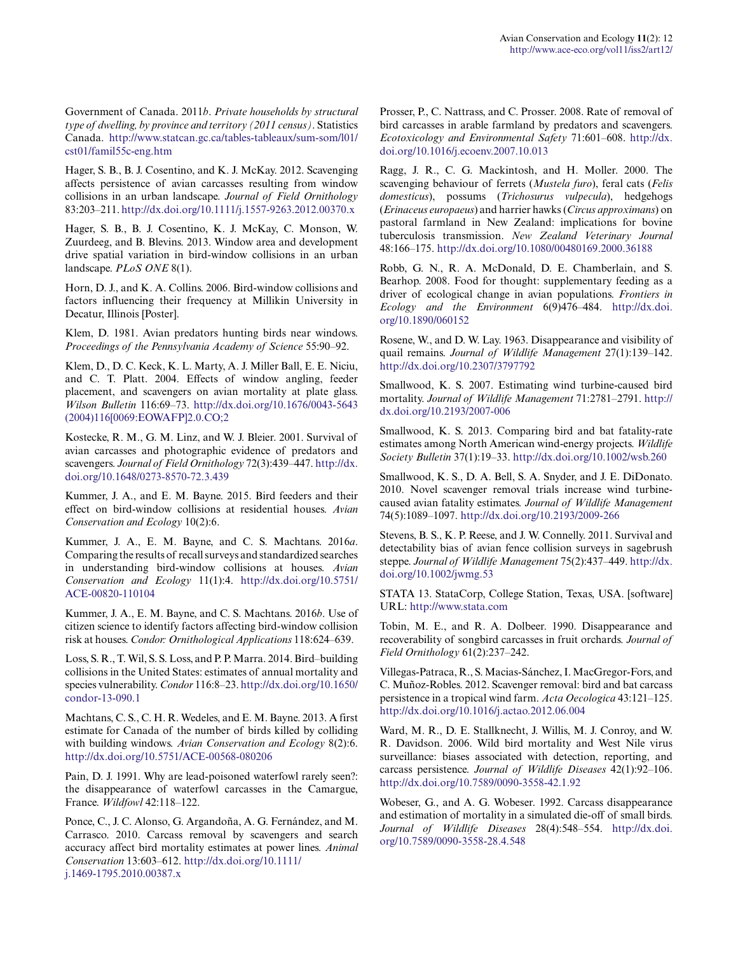Government of Canada. 2011*b*. *Private households by structural type of dwelling, by province and territory (2011 census)*. Statistics Canada. [http://www.statcan.gc.ca/tables-tableaux/sum-som/l01/](http://www.statcan.gc.ca/tables-tableaux/sum-som/l01/cst01/famil55c-eng.htm) [cst01/famil55c-eng.htm](http://www.statcan.gc.ca/tables-tableaux/sum-som/l01/cst01/famil55c-eng.htm) 

Hager, S. B., B. J. Cosentino, and K. J. McKay. 2012. Scavenging affects persistence of avian carcasses resulting from window collisions in an urban landscape. *Journal of Field Ornithology* 83:203–211. [http://dx.doi.org/10.1111/j.1557-9263.2012.00370.x](http://dx.doi.org/10.1111%2Fj.1557-9263.2012.00370.x)

Hager, S. B., B. J. Cosentino, K. J. McKay, C. Monson, W. Zuurdeeg, and B. Blevins. 2013. Window area and development drive spatial variation in bird-window collisions in an urban landscape. *PLoS ONE* 8(1).

Horn, D. J., and K. A. Collins. 2006. Bird-window collisions and factors influencing their frequency at Millikin University in Decatur, Illinois [Poster].

Klem, D. 1981. Avian predators hunting birds near windows. *Proceedings of the Pennsylvania Academy of Science* 55:90–92.

Klem, D., D. C. Keck, K. L. Marty, A. J. Miller Ball, E. E. Niciu, and C. T. Platt. 2004. Effects of window angling, feeder placement, and scavengers on avian mortality at plate glass. *Wilson Bulletin* 116:69–73. [http://dx.doi.org/10.1676/0043-5643](http://dx.doi.org/10.1676%2F0043-5643%282004%29116%5B0069%3AEOWAFP%5D2.0.CO%3B2) [\(2004\)116\[0069:EOWAFP\]2.0.CO;2](http://dx.doi.org/10.1676%2F0043-5643%282004%29116%5B0069%3AEOWAFP%5D2.0.CO%3B2) 

Kostecke, R. M., G. M. Linz, and W. J. Bleier. 2001. Survival of avian carcasses and photographic evidence of predators and scavengers. *Journal of Field Ornithology* 72(3):439–447. [http://dx.](http://dx.doi.org/10.1648%2F0273-8570-72.3.439) [doi.org/10.1648/0273-8570-72.3.439](http://dx.doi.org/10.1648%2F0273-8570-72.3.439) 

Kummer, J. A., and E. M. Bayne. 2015. Bird feeders and their effect on bird-window collisions at residential houses. *Avian Conservation and Ecology* 10(2):6.

Kummer, J. A., E. M. Bayne, and C. S. Machtans. 2016*a*. Comparing the results of recall surveys and standardized searches in understanding bird-window collisions at houses. *Avian Conservation and Ecology* 11(1):4. [http://dx.doi.org/10.5751/](http://dx.doi.org/10.5751%2FACE-00820-110104) [ACE-00820-110104](http://dx.doi.org/10.5751%2FACE-00820-110104) 

Kummer, J. A., E. M. Bayne, and C. S. Machtans. 2016*b*. Use of citizen science to identify factors affecting bird-window collision risk at houses. *Condor: Ornithological Applications* 118:624–639.

Loss, S. R., T. Wil, S. S. Loss, and P. P. Marra. 2014. Bird–building collisions in the United States: estimates of annual mortality and species vulnerability. *Condor* 116:8–23. [http://dx.doi.org/10.1650/](http://dx.doi.org/10.1650%2Fcondor-13-090.1) [condor-13-090.1](http://dx.doi.org/10.1650%2Fcondor-13-090.1) 

Machtans, C. S., C. H. R. Wedeles, and E. M. Bayne. 2013. A first estimate for Canada of the number of birds killed by colliding with building windows. *Avian Conservation and Ecology* 8(2):6. [http://dx.doi.org/10.5751/ACE-00568-080206](http://dx.doi.org/10.5751%2FACE-00568-080206) 

Pain, D. J. 1991. Why are lead-poisoned waterfowl rarely seen?: the disappearance of waterfowl carcasses in the Camargue, France. *Wildfowl* 42:118–122.

Ponce, C., J. C. Alonso, G. Argandoña, A. G. Fernández, and M. Carrasco. 2010. Carcass removal by scavengers and search accuracy affect bird mortality estimates at power lines. *Animal Conservation* 13:603–612. [http://dx.doi.org/10.1111/](http://dx.doi.org/10.1111%2Fj.1469-1795.2010.00387.x) [j.1469-1795.2010.00387.x](http://dx.doi.org/10.1111%2Fj.1469-1795.2010.00387.x)

Prosser, P., C. Nattrass, and C. Prosser. 2008. Rate of removal of bird carcasses in arable farmland by predators and scavengers. *Ecotoxicology and Environmental Safety* 71:601–608. [http://dx.](http://dx.doi.org/10.1016%2Fj.ecoenv.2007.10.013) [doi.org/10.1016/j.ecoenv.2007.10.013](http://dx.doi.org/10.1016%2Fj.ecoenv.2007.10.013) 

Ragg, J. R., C. G. Mackintosh, and H. Moller. 2000. The scavenging behaviour of ferrets (*Mustela furo*), feral cats (*Felis domesticus*), possums (*Trichosurus vulpecula*), hedgehogs (*Erinaceus europaeus*) and harrier hawks (*Circus approximans*) on pastoral farmland in New Zealand: implications for bovine tuberculosis transmission. *New Zealand Veterinary Journal* 48:166–175. [http://dx.doi.org/10.1080/00480169.2000.36188](http://dx.doi.org/10.1080%2F00480169.2000.36188)

Robb, G. N., R. A. McDonald, D. E. Chamberlain, and S. Bearhop. 2008. Food for thought: supplementary feeding as a driver of ecological change in avian populations. *Frontiers in Ecology and the Environment* 6(9)476–484. [http://dx.doi.](http://dx.doi.org/10.1890%2F060152) [org/10.1890/060152](http://dx.doi.org/10.1890%2F060152)

Rosene, W., and D. W. Lay. 1963. Disappearance and visibility of quail remains. *Journal of Wildlife Management* 27(1):139–142. [http://dx.doi.org/10.2307/3797792](http://dx.doi.org/10.2307%2F3797792) 

Smallwood, K. S. 2007. Estimating wind turbine-caused bird mortality. *Journal of Wildlife Management* 71:2781–2791. [http://](http://dx.doi.org/10.2193%2F2007-006) [dx.doi.org/10.2193/2007-006](http://dx.doi.org/10.2193%2F2007-006)

Smallwood, K. S. 2013. Comparing bird and bat fatality-rate estimates among North American wind-energy projects. *Wildlife Society Bulletin* 37(1):19–33. [http://dx.doi.org/10.1002/wsb.260](http://dx.doi.org/10.1002%2Fwsb.260)

Smallwood, K. S., D. A. Bell, S. A. Snyder, and J. E. DiDonato. 2010. Novel scavenger removal trials increase wind turbinecaused avian fatality estimates. *Journal of Wildlife Management* 74(5):1089–1097. [http://dx.doi.org/10.2193/2009-266](http://dx.doi.org/10.2193%2F2009-266) 

Stevens, B. S., K. P. Reese, and J. W. Connelly. 2011. Survival and detectability bias of avian fence collision surveys in sagebrush steppe. *Journal of Wildlife Management* 75(2):437–449. [http://dx.](http://dx.doi.org/10.1002%2Fjwmg.53) [doi.org/10.1002/jwmg.53](http://dx.doi.org/10.1002%2Fjwmg.53)

STATA 13. StataCorp, College Station, Texas, USA. [software] URL:<http://www.stata.com>

Tobin, M. E., and R. A. Dolbeer. 1990. Disappearance and recoverability of songbird carcasses in fruit orchards. *Journal of Field Ornithology* 61(2):237–242.

Villegas-Patraca, R., S. Macias-Sánchez, I. MacGregor-Fors, and C. Muñoz-Robles. 2012. Scavenger removal: bird and bat carcass persistence in a tropical wind farm. *Acta Oecologica* 43:121–125. [http://dx.doi.org/10.1016/j.actao.2012.06.004](http://dx.doi.org/10.1016%2Fj.actao.2012.06.004)

Ward, M. R., D. E. Stallknecht, J. Willis, M. J. Conroy, and W. R. Davidson. 2006. Wild bird mortality and West Nile virus surveillance: biases associated with detection, reporting, and carcass persistence. *Journal of Wildlife Diseases* 42(1):92–106. [http://dx.doi.org/10.7589/0090-3558-42.1.92](http://dx.doi.org/10.7589%2F0090-3558-42.1.92) 

Wobeser, G., and A. G. Wobeser. 1992. Carcass disappearance and estimation of mortality in a simulated die-off of small birds. *Journal of Wildlife Diseases* 28(4):548–554. [http://dx.doi.](http://dx.doi.org/10.7589%2F0090-3558-28.4.548) [org/10.7589/0090-3558-28.4.548](http://dx.doi.org/10.7589%2F0090-3558-28.4.548)